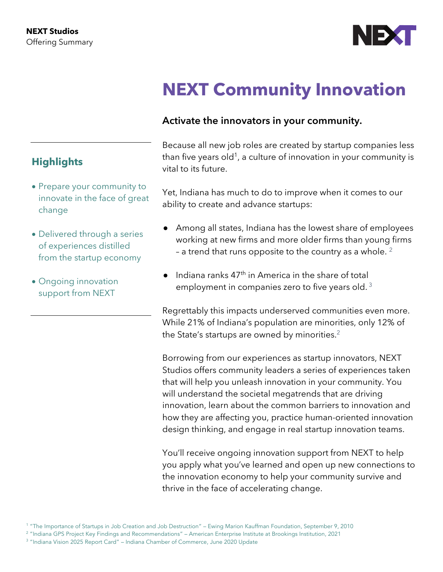

# **NEXT Community Innovation**

## **Activate the innovators in your community.**

Because all new job roles are created by startup companies less than five years old<sup>1</sup>, a culture of innovation in your community is vital to its future.

Yet, Indiana has much to do to improve when it comes to our ability to create and advance startups:

- Among all states, Indiana has the lowest share of employees working at new firms and more older firms than young firms - a trend that runs opposite to the country as a whole.  $2$
- $\bullet$  Indiana ranks 47<sup>th</sup> in America in the share of total employment in companies zero to five years old.<sup>3</sup>

Regrettably this impacts underserved communities even more. While 21% of Indiana's population are minorities, only 12% of the State's startups are owned by minorities. $2$ 

Borrowing from our experiences as startup innovators, NEXT Studios offers community leaders a series of experiences taken that will help you unleash innovation in your community. You will understand the societal megatrends that are driving innovation, learn about the common barriers to innovation and how they are affecting you, practice human-oriented innovation design thinking, and engage in real startup innovation teams.

You'll receive ongoing innovation support from NEXT to help you apply what you've learned and open up new connections to the innovation economy to help your community survive and thrive in the face of accelerating change.

<sup>3</sup> "Indiana Vision 2025 Report Card" – Indiana Chamber of Commerce, June 2020 Update

## **Highlights**

- Prepare your community to innovate in the face of great change
- Delivered through a series of experiences distilled from the startup economy
- Ongoing innovation support from NEXT

<sup>1</sup> "The Importance of Startups in Job Creation and Job Destruction" – Ewing Marion Kauffman Foundation, September 9, 2010

<sup>&</sup>lt;sup>2</sup> "Indiana GPS Project Key Findings and Recommendations" – American Enterprise Institute at Brookings Institution, 2021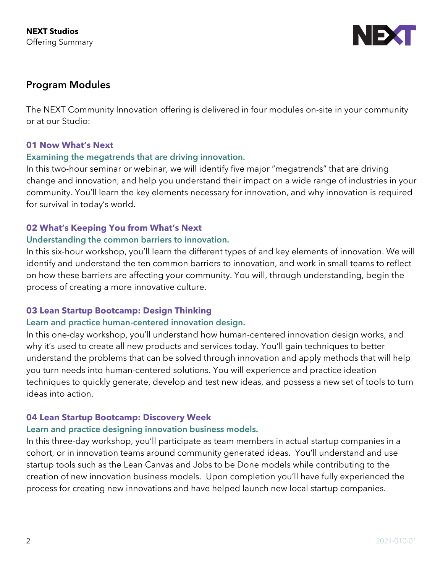

## **Program Modules**

The NEXT Community Innovation offering is delivered in four modules on-site in your community or at our Studio:

#### **01 Now What's Next**

#### **Examining the megatrends that are driving innovation.**

In this two-hour seminar or webinar, we will identify five major "megatrends" that are driving change and innovation, and help you understand their impact on a wide range of industries in your community. You'll learn the key elements necessary for innovation, and why innovation is required for survival in today's world.

#### **02 What's Keeping You from What's Next**

#### **Understanding the common barriers to innovation.**

In this six-hour workshop, you'll learn the different types of and key elements of innovation. We will identify and understand the ten common barriers to innovation, and work in small teams to reflect on how these barriers are affecting your community. You will, through understanding, begin the process of creating a more innovative culture.

#### **03 Lean Startup Bootcamp: Design Thinking**

#### **Learn and practice human-centered innovation design.**

In this one-day workshop, you'll understand how human-centered innovation design works, and why it's used to create all new products and services today. You'll gain techniques to better understand the problems that can be solved through innovation and apply methods that will help you turn needs into human-centered solutions. You will experience and practice ideation techniques to quickly generate, develop and test new ideas, and possess a new set of tools to turn ideas into action.

#### **04 Lean Startup Bootcamp: Discovery Week**

#### **Learn and practice designing innovation business models.**

In this three-day workshop, you'll participate as team members in actual startup companies in a cohort, or in innovation teams around community generated ideas. You'll understand and use startup tools such as the Lean Canvas and Jobs to be Done models while contributing to the creation of new innovation business models. Upon completion you'll have fully experienced the process for creating new innovations and have helped launch new local startup companies.